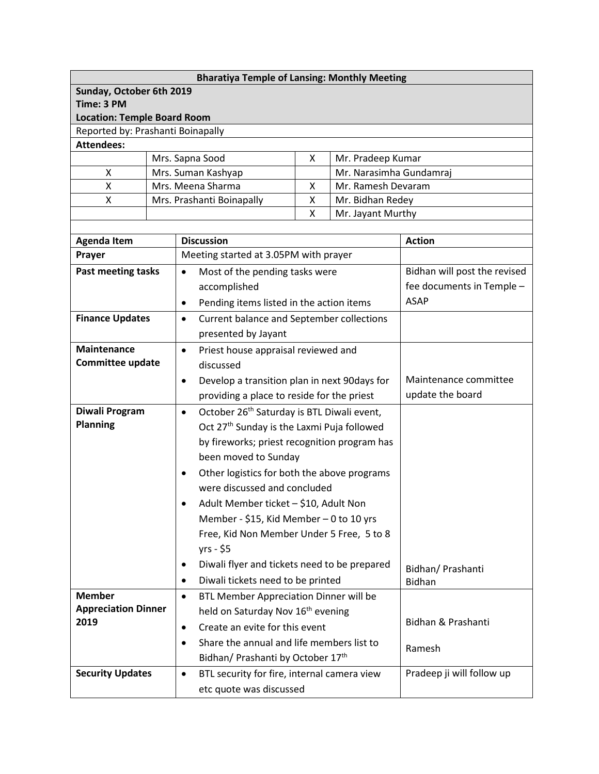| <b>Bharatiya Temple of Lansing: Monthly Meeting</b> |  |                                             |                                                                      |                       |                                       |                              |  |  |  |
|-----------------------------------------------------|--|---------------------------------------------|----------------------------------------------------------------------|-----------------------|---------------------------------------|------------------------------|--|--|--|
| Sunday, October 6th 2019<br>Time: 3 PM              |  |                                             |                                                                      |                       |                                       |                              |  |  |  |
| <b>Location: Temple Board Room</b>                  |  |                                             |                                                                      |                       |                                       |                              |  |  |  |
| Reported by: Prashanti Boinapally                   |  |                                             |                                                                      |                       |                                       |                              |  |  |  |
| <b>Attendees:</b>                                   |  |                                             |                                                                      |                       |                                       |                              |  |  |  |
|                                                     |  |                                             | Mrs. Sapna Sood                                                      | X                     | Mr. Pradeep Kumar                     |                              |  |  |  |
| X                                                   |  |                                             | Mrs. Suman Kashyap                                                   |                       | Mr. Narasimha Gundamraj               |                              |  |  |  |
| Χ                                                   |  |                                             | Mrs. Meena Sharma                                                    | X                     | Mr. Ramesh Devaram                    |                              |  |  |  |
| Χ                                                   |  |                                             | Mrs. Prashanti Boinapally                                            | X<br>X                | Mr. Bidhan Redey<br>Mr. Jayant Murthy |                              |  |  |  |
|                                                     |  |                                             |                                                                      |                       |                                       |                              |  |  |  |
| <b>Agenda Item</b>                                  |  |                                             | <b>Discussion</b>                                                    | <b>Action</b>         |                                       |                              |  |  |  |
| Prayer                                              |  |                                             | Meeting started at 3.05PM with prayer                                |                       |                                       |                              |  |  |  |
| Past meeting tasks                                  |  | Most of the pending tasks were<br>$\bullet$ |                                                                      |                       |                                       | Bidhan will post the revised |  |  |  |
|                                                     |  |                                             | accomplished                                                         |                       |                                       | fee documents in Temple -    |  |  |  |
|                                                     |  | $\bullet$                                   | Pending items listed in the action items                             | <b>ASAP</b>           |                                       |                              |  |  |  |
| <b>Finance Updates</b>                              |  | $\bullet$                                   | Current balance and September collections                            |                       |                                       |                              |  |  |  |
|                                                     |  |                                             | presented by Jayant                                                  |                       |                                       |                              |  |  |  |
| <b>Maintenance</b>                                  |  | $\bullet$                                   | Priest house appraisal reviewed and                                  |                       |                                       |                              |  |  |  |
| <b>Committee update</b>                             |  |                                             | discussed                                                            |                       |                                       |                              |  |  |  |
|                                                     |  | $\bullet$                                   | Develop a transition plan in next 90days for                         | Maintenance committee |                                       |                              |  |  |  |
|                                                     |  |                                             | providing a place to reside for the priest                           | update the board      |                                       |                              |  |  |  |
| Diwali Program                                      |  | $\bullet$                                   | October 26 <sup>th</sup> Saturday is BTL Diwali event,               |                       |                                       |                              |  |  |  |
| <b>Planning</b>                                     |  |                                             | Oct 27 <sup>th</sup> Sunday is the Laxmi Puja followed               |                       |                                       |                              |  |  |  |
|                                                     |  |                                             | by fireworks; priest recognition program has<br>been moved to Sunday |                       |                                       |                              |  |  |  |
|                                                     |  |                                             |                                                                      |                       |                                       |                              |  |  |  |
|                                                     |  | $\bullet$                                   | Other logistics for both the above programs                          |                       |                                       |                              |  |  |  |
|                                                     |  |                                             | were discussed and concluded                                         |                       |                                       |                              |  |  |  |
|                                                     |  |                                             | Adult Member ticket - \$10, Adult Non                                |                       |                                       |                              |  |  |  |
|                                                     |  |                                             | Member - \$15, Kid Member - 0 to 10 yrs                              |                       |                                       |                              |  |  |  |
|                                                     |  |                                             | Free, Kid Non Member Under 5 Free, 5 to 8                            |                       |                                       |                              |  |  |  |
|                                                     |  |                                             | yrs - \$5                                                            |                       |                                       |                              |  |  |  |
|                                                     |  | ٠                                           | Diwali flyer and tickets need to be prepared                         | Bidhan/ Prashanti     |                                       |                              |  |  |  |
|                                                     |  | $\bullet$                                   | Diwali tickets need to be printed                                    | Bidhan                |                                       |                              |  |  |  |
| <b>Member</b>                                       |  | $\bullet$                                   | BTL Member Appreciation Dinner will be                               |                       |                                       |                              |  |  |  |
| <b>Appreciation Dinner</b>                          |  |                                             | held on Saturday Nov 16 <sup>th</sup> evening                        |                       |                                       | Bidhan & Prashanti           |  |  |  |
| 2019                                                |  | $\bullet$                                   | Create an evite for this event                                       |                       |                                       |                              |  |  |  |
|                                                     |  | $\bullet$                                   | Share the annual and life members list to                            |                       |                                       | Ramesh                       |  |  |  |
|                                                     |  |                                             | Bidhan/ Prashanti by October 17th                                    |                       |                                       |                              |  |  |  |
| <b>Security Updates</b>                             |  | $\bullet$                                   | BTL security for fire, internal camera view                          |                       |                                       | Pradeep ji will follow up    |  |  |  |
|                                                     |  |                                             | etc quote was discussed                                              |                       |                                       |                              |  |  |  |